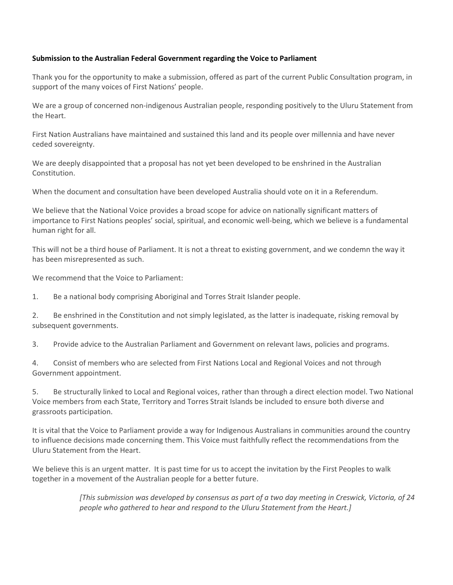## **Submission to the Australian Federal Government regarding the Voice to Parliament**

Thank you for the opportunity to make a submission, offered as part of the current Public Consultation program, in support of the many voices of First Nations' people.

We are a group of concerned non-indigenous Australian people, responding positively to the Uluru Statement from the Heart.

First Nation Australians have maintained and sustained this land and its people over millennia and have never ceded sovereignty.

We are deeply disappointed that a proposal has not yet been developed to be enshrined in the Australian Constitution.

When the document and consultation have been developed Australia should vote on it in a Referendum.

We believe that the National Voice provides a broad scope for advice on nationally significant matters of importance to First Nations peoples' social, spiritual, and economic well-being, which we believe is a fundamental human right for all.

This will not be a third house of Parliament. It is not a threat to existing government, and we condemn the way it has been misrepresented as such.

We recommend that the Voice to Parliament:

1. Be a national body comprising Aboriginal and Torres Strait Islander people.

2. Be enshrined in the Constitution and not simply legislated, as the latter is inadequate, risking removal by subsequent governments.

3. Provide advice to the Australian Parliament and Government on relevant laws, policies and programs.

4. Consist of members who are selected from First Nations Local and Regional Voices and not through Government appointment.

5. Be structurally linked to Local and Regional voices, rather than through a direct election model. Two National Voice members from each State, Territory and Torres Strait Islands be included to ensure both diverse and grassroots participation.

It is vital that the Voice to Parliament provide a way for Indigenous Australians in communities around the country to influence decisions made concerning them. This Voice must faithfully reflect the recommendations from the Uluru Statement from the Heart.

We believe this is an urgent matter. It is past time for us to accept the invitation by the First Peoples to walk together in a movement of the Australian people for a better future.

> *[This submission was developed by consensus as part of a two day meeting in Creswick, Victoria, of 24 people who gathered to hear and respond to the Uluru Statement from the Heart.]*